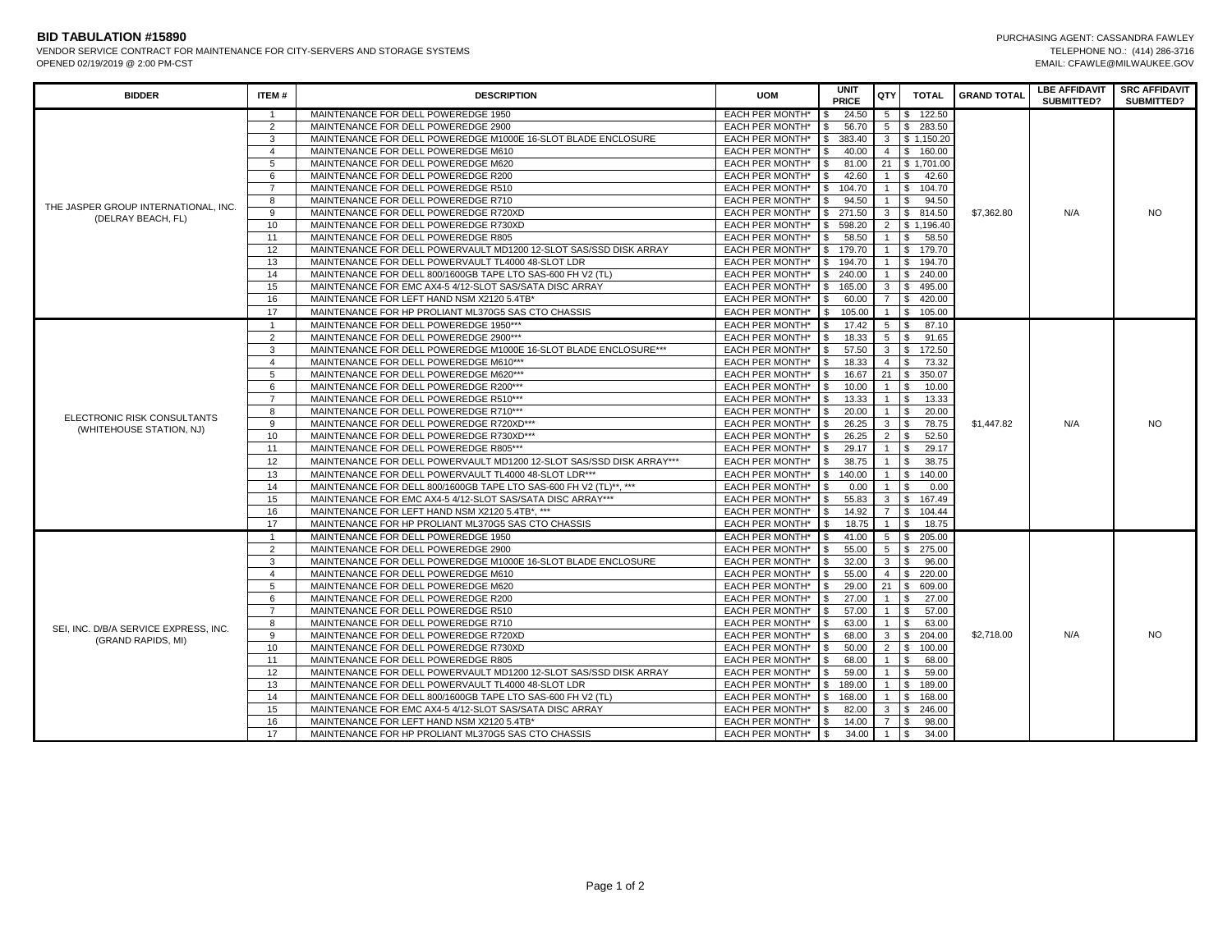VENDOR SERVICE CONTRACT FOR MAINTENANCE FOR CITY-SERVERS AND STORAGE SYSTEMS OPENED 02/19/2019 @ 2:00 PM-CST

| <b>BIDDER</b>                                               | ITEM#          | <b>DESCRIPTION</b>                                                   | <b>UOM</b>      | <b>UNIT</b><br><b>PRICE</b> | QTY                            | <b>TOTAL</b>   | <b>GRAND TOTAL</b> | <b>LBE AFFIDAVIT</b><br>SUBMITTED? | <b>SRC AFFIDAVIT</b><br><b>SUBMITTED?</b> |
|-------------------------------------------------------------|----------------|----------------------------------------------------------------------|-----------------|-----------------------------|--------------------------------|----------------|--------------------|------------------------------------|-------------------------------------------|
|                                                             | $\overline{1}$ | MAINTENANCE FOR DELL POWEREDGE 1950                                  | EACH PER MONTH* | 24.50                       |                                | 5 \$ 122.50    |                    |                                    |                                           |
|                                                             | $\overline{2}$ | MAINTENANCE FOR DELL POWEREDGE 2900                                  | EACH PER MONTH* | 56.70                       |                                | 5 \$ 283.50    |                    | N/A                                | <b>NO</b>                                 |
|                                                             | $\mathbf{3}$   | MAINTENANCE FOR DELL POWEREDGE M1000E 16-SLOT BLADE ENCLOSURE        | EACH PER MONTH* | 383.40<br>\$                |                                | 3 \$ 1,150.20  |                    |                                    |                                           |
|                                                             | $\overline{4}$ | MAINTENANCE FOR DELL POWEREDGE M610                                  | EACH PER MONTH* | 40.00<br>\$.                |                                | 4 \$ 160.00    | \$7,362.80         |                                    |                                           |
|                                                             | 5              | MAINTENANCE FOR DELL POWEREDGE M620                                  | EACH PER MONTH* | 81.00<br>$\mathfrak{s}$     |                                | 21 \$ 1,701.00 |                    |                                    |                                           |
| THE JASPER GROUP INTERNATIONAL, INC.                        | 6              | MAINTENANCE FOR DELL POWEREDGE R200                                  | EACH PER MONTH* | 42.60<br>\$                 |                                | 1 \$ 42.60     |                    |                                    |                                           |
|                                                             | $\overline{7}$ | MAINTENANCE FOR DELL POWEREDGE R510                                  | EACH PER MONTH* | 104.70<br>\$                |                                | 1 \$ 104.70    |                    |                                    |                                           |
|                                                             | 8              | MAINTENANCE FOR DELL POWEREDGE R710                                  | EACH PER MONTH* | 94.50                       | 1   \$                         | 94.50          |                    |                                    |                                           |
| (DELRAY BEACH, FL)                                          | 9              | MAINTENANCE FOR DELL POWEREDGE R720XD                                | EACH PER MONTH* | 271.50<br>\$.               |                                | 3 \$ 814.50    |                    |                                    |                                           |
|                                                             | 10             | MAINTENANCE FOR DELL POWEREDGE R730XD                                | EACH PER MONTH* | 598.20<br>\$                |                                | 2 \$ 1,196.40  |                    |                                    |                                           |
|                                                             | 11             | MAINTENANCE FOR DELL POWEREDGE R805                                  | EACH PER MONTH* | 58.50                       | $1 \quad$ $\sqrt{5}$           | 58.50          |                    |                                    |                                           |
|                                                             | 12             | MAINTENANCE FOR DELL POWERVAULT MD1200 12-SLOT SAS/SSD DISK ARRAY    | EACH PER MONTH* | 179.70<br>\$.               |                                | 1 \$ 179.70    |                    |                                    |                                           |
|                                                             | 13             | MAINTENANCE FOR DELL POWERVAULT TL4000 48-SLOT LDR                   | EACH PER MONTH* | 194.70<br>\$.               |                                | 1 \$ 194.70    |                    |                                    |                                           |
|                                                             | 14             | MAINTENANCE FOR DELL 800/1600GB TAPE LTO SAS-600 FH V2 (TL)          | EACH PER MONTH* | 240.00<br>S.                |                                | 1 \$ 240.00    |                    |                                    |                                           |
|                                                             | 15             | MAINTENANCE FOR EMC AX4-5 4/12-SLOT SAS/SATA DISC ARRAY              | EACH PER MONTH* | 165.00<br>$\mathfrak{s}$    |                                | 3 \$ 495.00    |                    |                                    |                                           |
|                                                             | 16             | MAINTENANCE FOR LEFT HAND NSM X2120 5.4TB*                           | EACH PER MONTH* | \$<br>60.00                 |                                | 7 \$ 420.00    |                    |                                    |                                           |
|                                                             | 17             | MAINTENANCE FOR HP PROLIANT ML370G5 SAS CTO CHASSIS                  | EACH PER MONTH* | \$105.00                    |                                | 1 \$ 105.00    |                    |                                    |                                           |
|                                                             | $\overline{1}$ | MAINTENANCE FOR DELL POWEREDGE 1950***                               | EACH PER MONTH* | 17.42<br>\$.                |                                | 5 \$ 87.10     |                    | N/A                                | <b>NO</b>                                 |
|                                                             | $\overline{2}$ | MAINTENANCE FOR DELL POWEREDGE 2900***                               | EACH PER MONTH* | 18.33<br>\$                 | $5 \mid$ \$                    | 91.65          |                    |                                    |                                           |
|                                                             | $\mathbf{3}$   | MAINTENANCE FOR DELL POWEREDGE M1000E 16-SLOT BLADE ENCLOSURE***     | EACH PER MONTH* | 57.50                       |                                | 3 \$ 172.50    |                    |                                    |                                           |
|                                                             | $\overline{4}$ | MAINTENANCE FOR DELL POWEREDGE M610***                               | EACH PER MONTH* | 18.33<br>\$                 | $4 \mid$ \$                    | 73.32          |                    |                                    |                                           |
|                                                             | 5              | MAINTENANCE FOR DELL POWEREDGE M620***                               | EACH PER MONTH* | 16.67<br>\$.                |                                | 21 \$ 350.07   | \$1,447.82         |                                    |                                           |
|                                                             | 6              | MAINTENANCE FOR DELL POWEREDGE R200***                               | EACH PER MONTH* | \$<br>10.00                 | $1 \mid$ \$                    | 10.00          |                    |                                    |                                           |
|                                                             | $\overline{7}$ | MAINTENANCE FOR DELL POWEREDGE R510***                               | EACH PER MONTH* | 13.33<br>\$                 |                                | 13.33          |                    |                                    |                                           |
| ELECTRONIC RISK CONSULTANTS<br>(WHITEHOUSE STATION, NJ)     | 8              | MAINTENANCE FOR DELL POWEREDGE R710***                               | EACH PER MONTH* | 20.00                       | $1 \quad$ $\sqrt{5}$           | 20.00          |                    |                                    |                                           |
|                                                             | 9              | MAINTENANCE FOR DELL POWEREDGE R720XD***                             | EACH PER MONTH* | 26.25                       | $3 \quad$ $\sqrt{3}$           | 78.75          |                    |                                    |                                           |
|                                                             | 10             | MAINTENANCE FOR DELL POWEREDGE R730XD***                             | EACH PER MONTH* | 26.25                       | $2 \mid$ \$                    | 52.50          |                    |                                    |                                           |
|                                                             | 11             | MAINTENANCE FOR DELL POWEREDGE R805***                               | EACH PER MONTH* | 29.17                       | $1 \mid$ S                     | 29.17          |                    |                                    |                                           |
|                                                             | 12             | MAINTENANCE FOR DELL POWERVAULT MD1200 12-SLOT SAS/SSD DISK ARRAY*** | EACH PER MONTH* | 38.75<br>$\mathfrak{s}$     | $1 \mid$ \$                    | 38.75          |                    |                                    |                                           |
|                                                             | 13             | MAINTENANCE FOR DELL POWERVAULT TL4000 48-SLOT LDR***                | EACH PER MONTH* | 140.00<br>\$                |                                | 1 \$ 140.00    |                    |                                    |                                           |
|                                                             | 14             | MAINTENANCE FOR DELL 800/1600GB TAPE LTO SAS-600 FH V2 (TL)**, ***   | EACH PER MONTH* | 0.00                        | 1   \$                         | 0.00           |                    |                                    |                                           |
|                                                             | 15             | MAINTENANCE FOR EMC AX4-5 4/12-SLOT SAS/SATA DISC ARRAY***           | EACH PER MONTH* | 55.83<br>\$.                |                                | 3 \$ 167.49    |                    |                                    |                                           |
|                                                             | 16             | MAINTENANCE FOR LEFT HAND NSM X2120 5.4TB*, ***                      | EACH PER MONTH* | 14.92<br>\$                 |                                | 7 \$ 104.44    |                    |                                    |                                           |
|                                                             | 17             | MAINTENANCE FOR HP PROLIANT ML370G5 SAS CTO CHASSIS                  | EACH PER MONTH* | 18.75                       | $1 \quad$ $\sqrt{5}$           | 18.75          |                    |                                    |                                           |
|                                                             | $\mathbf{1}$   | MAINTENANCE FOR DELL POWEREDGE 1950                                  | EACH PER MONTH* | 41.00<br>S.                 |                                | 5 \$ 205.00    | \$2,718.00         | N/A                                | <b>NO</b>                                 |
|                                                             | 2              | MAINTENANCE FOR DELL POWEREDGE 2900                                  | EACH PER MONTH* | 55.00                       |                                | 5 \$ 275.00    |                    |                                    |                                           |
|                                                             | 3              | MAINTENANCE FOR DELL POWEREDGE M1000E 16-SLOT BLADE ENCLOSURE        | EACH PER MONTH* | 32.00                       | $3 \mid$ $\sqrt{3}$            | 96.00          |                    |                                    |                                           |
|                                                             | $\overline{4}$ | MAINTENANCE FOR DELL POWEREDGE M610                                  | EACH PER MONTH* | 55.00<br>\$.                |                                | 4 \$ 220.00    |                    |                                    |                                           |
|                                                             | 5              | MAINTENANCE FOR DELL POWEREDGE M620                                  | EACH PER MONTH* | 29.00                       |                                | 21 \$ 609.00   |                    |                                    |                                           |
|                                                             | 6              | MAINTENANCE FOR DELL POWEREDGE R200                                  | EACH PER MONTH* | 27.00<br>\$                 | $1$ $\overline{\phantom{1}}$ s | 27.00          |                    |                                    |                                           |
| SEI, INC. D/B/A SERVICE EXPRESS, INC.<br>(GRAND RAPIDS, MI) | $\overline{7}$ | MAINTENANCE FOR DELL POWEREDGE R510                                  | EACH PER MONTH* | 57.00                       | $1 \mid$ S                     | 57.00          |                    |                                    |                                           |
|                                                             | 8              | MAINTENANCE FOR DELL POWEREDGE R710                                  | EACH PER MONTH* | 63.00<br>S.                 |                                | 63.00          |                    |                                    |                                           |
|                                                             | 9              | MAINTENANCE FOR DELL POWEREDGE R720XD                                | EACH PER MONTH* | $\mathfrak{s}$<br>68.00     |                                | 3 \$ 204.00    |                    |                                    |                                           |
|                                                             | 10             | MAINTENANCE FOR DELL POWEREDGE R730XD                                | EACH PER MONTH* | 50.00                       |                                | 2 \$ 100.00    |                    |                                    |                                           |
|                                                             | 11             | MAINTENANCE FOR DELL POWEREDGE R805                                  | EACH PER MONTH* | 68.00<br>\$.                | $1 \mid$ \$                    | 68.00          |                    |                                    |                                           |
|                                                             | 12             | MAINTENANCE FOR DELL POWERVAULT MD1200 12-SLOT SAS/SSD DISK ARRAY    | EACH PER MONTH* | 59.00<br>\$.                |                                | 59.00          |                    |                                    |                                           |
|                                                             | 13             | MAINTENANCE FOR DELL POWERVAULT TL4000 48-SLOT LDR                   | EACH PER MONTH* | 189.00<br>\$                |                                | 1 \$ 189.00    |                    |                                    |                                           |
|                                                             | 14             | MAINTENANCE FOR DELL 800/1600GB TAPE LTO SAS-600 FH V2 (TL)          | EACH PER MONTH* | 168.00<br>\$                |                                | 1 \$ 168,00    |                    |                                    |                                           |
|                                                             | 15             | MAINTENANCE FOR EMC AX4-5 4/12-SLOT SAS/SATA DISC ARRAY              | EACH PER MONTH* | 82.00                       |                                | 3 \$ 246.00    |                    |                                    |                                           |
|                                                             | 16             | MAINTENANCE FOR LEFT HAND NSM X2120 5.4TB*                           | EACH PER MONTH* | \$<br>14.00                 | 7   \$                         | 98.00          |                    |                                    |                                           |
|                                                             | 17             | MAINTENANCE FOR HP PROLIANT ML370G5 SAS CTO CHASSIS                  | EACH PER MONTH* | 34.00<br>S.                 | $1 \mid$ \$                    | 34.00          |                    |                                    |                                           |